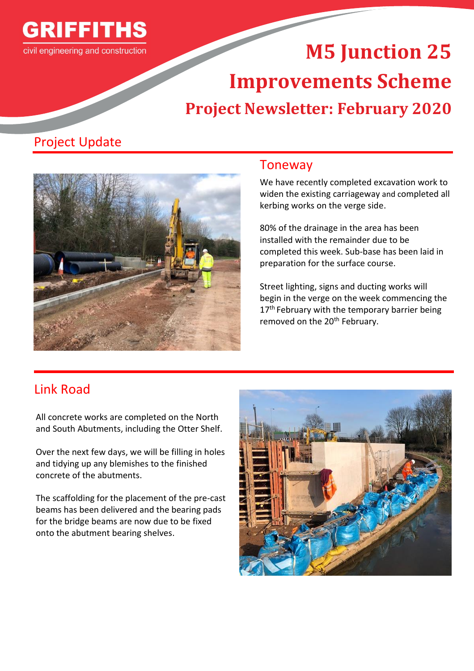

# **M5 Junction 25 Improvements Scheme Project Newsletter: February 2020**

## Project Update



### Toneway

We have recently completed excavation work to widen the existing carriageway and completed all kerbing works on the verge side.

80% of the drainage in the area has been installed with the remainder due to be completed this week. Sub-base has been laid in preparation for the surface course.

Street lighting, signs and ducting works will begin in the verge on the week commencing the 17<sup>th</sup> February with the temporary barrier being removed on the 20<sup>th</sup> February.

## Link Road

All concrete works are completed on the North and South Abutments, including the Otter Shelf.

Over the next few days, we will be filling in holes and tidying up any blemishes to the finished concrete of the abutments.

The scaffolding for the placement of the pre-cast beams has been delivered and the bearing pads for the bridge beams are now due to be fixed onto the abutment bearing shelves.